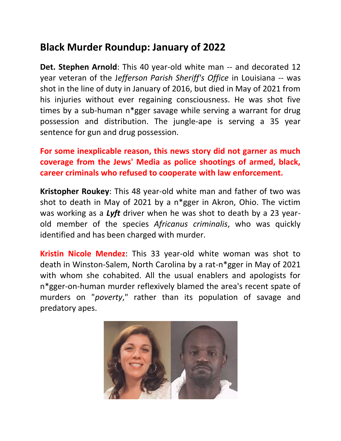## **Black Murder Roundup: January of 2022**

**Det. Stephen Arnold**: This 40 year-old white man -- and decorated 12 year veteran of the J*efferson Parish Sheriff's Office* in Louisiana -- was shot in the line of duty in January of 2016, but died in May of 2021 from his injuries without ever regaining consciousness. He was shot five times by a sub-human n\*gger savage while serving a warrant for drug possession and distribution. The jungle-ape is serving a 35 year sentence for gun and drug possession.

**For some inexplicable reason, this news story did not garner as much coverage from the Jews' Media as police shootings of armed, black, career criminals who refused to cooperate with law enforcement.** 

**Kristopher Roukey**: This 48 year-old white man and father of two was shot to death in May of 2021 by a n\*gger in Akron, Ohio. The victim was working as a *Lyft* driver when he was shot to death by a 23 yearold member of the species *Africanus criminalis*, who was quickly identified and has been charged with murder.

**Kristin Nicole Mendez**: This 33 year-old white woman was shot to death in Winston-Salem, North Carolina by a rat-n\*gger in May of 2021 with whom she cohabited. All the usual enablers and apologists for n\*gger-on-human murder reflexively blamed the area's recent spate of murders on "*poverty*," rather than its population of savage and predatory apes.

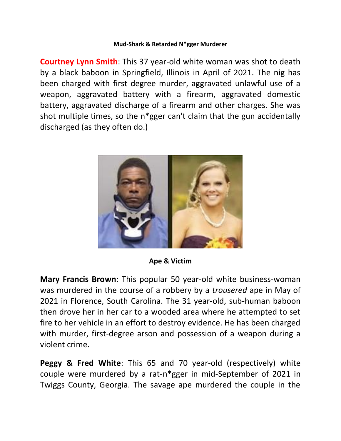## **Mud-Shark & Retarded N\*gger Murderer**

**Courtney Lynn Smith**: This 37 year-old white woman was shot to death by a black baboon in Springfield, Illinois in April of 2021. The nig has been charged with first degree murder, aggravated unlawful use of a weapon, aggravated battery with a firearm, aggravated domestic battery, aggravated discharge of a firearm and other charges. She was shot multiple times, so the n\*gger can't claim that the gun accidentally discharged (as they often do.)



**Ape & Victim**

**Mary Francis Brown**: This popular 50 year-old white business-woman was murdered in the course of a robbery by a *trousered* ape in May of 2021 in Florence, South Carolina. The 31 year-old, sub-human baboon then drove her in her car to a wooded area where he attempted to set fire to her vehicle in an effort to destroy evidence. He has been charged with murder, first-degree arson and possession of a weapon during a violent crime.

**Peggy & Fred White**: This 65 and 70 year-old (respectively) white couple were murdered by a rat-n\*gger in mid-September of 2021 in Twiggs County, Georgia. The savage ape murdered the couple in the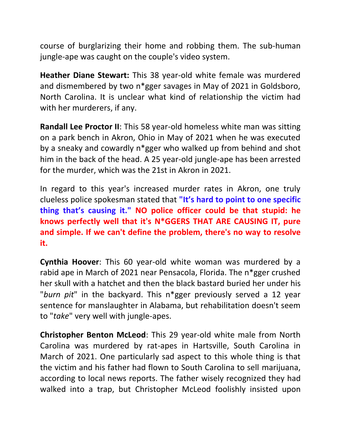course of burglarizing their home and robbing them. The sub-human jungle-ape was caught on the couple's video system.

**Heather Diane Stewart:** This 38 year-old white female was murdered and dismembered by two n\*gger savages in May of 2021 in Goldsboro, North Carolina. It is unclear what kind of relationship the victim had with her murderers, if any.

**Randall Lee Proctor II**: This 58 year-old homeless white man was sitting on a park bench in Akron, Ohio in May of 2021 when he was executed by a sneaky and cowardly n\*gger who walked up from behind and shot him in the back of the head. A 25 year-old jungle-ape has been arrested for the murder, which was the 21st in Akron in 2021.

In regard to this year's increased murder rates in Akron, one truly clueless police spokesman stated that **"It's hard to point to one specific thing that's causing it." NO police officer could be that stupid: he knows perfectly well that it's N\*GGERS THAT ARE CAUSING IT, pure and simple. If we can't define the problem, there's no way to resolve it.** 

**Cynthia Hoover**: This 60 year-old white woman was murdered by a rabid ape in March of 2021 near Pensacola, Florida. The n\*gger crushed her skull with a hatchet and then the black bastard buried her under his "*burn pit*" in the backyard. This n\*gger previously served a 12 year sentence for manslaughter in Alabama, but rehabilitation doesn't seem to "*take*" very well with jungle-apes.

**Christopher Benton McLeod**: This 29 year-old white male from North Carolina was murdered by rat-apes in Hartsville, South Carolina in March of 2021. One particularly sad aspect to this whole thing is that the victim and his father had flown to South Carolina to sell marijuana, according to local news reports. The father wisely recognized they had walked into a trap, but Christopher McLeod foolishly insisted upon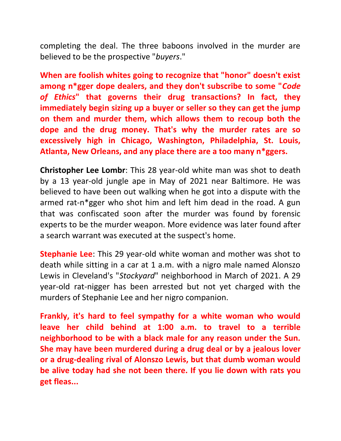completing the deal. The three baboons involved in the murder are believed to be the prospective "*buyers*."

**When are foolish whites going to recognize that "honor" doesn't exist among n\*gger dope dealers, and they don't subscribe to some "***Code of Ethics***" that governs their drug transactions? In fact, they immediately begin sizing up a buyer or seller so they can get the jump on them and murder them, which allows them to recoup both the dope and the drug money. That's why the murder rates are so excessively high in Chicago, Washington, Philadelphia, St. Louis, Atlanta, New Orleans, and any place there are a too many n\*ggers.** 

**Christopher Lee Lombr**: This 28 year-old white man was shot to death by a 13 year-old jungle ape in May of 2021 near Baltimore. He was believed to have been out walking when he got into a dispute with the armed rat-n\*gger who shot him and left him dead in the road. A gun that was confiscated soon after the murder was found by forensic experts to be the murder weapon. More evidence was later found after a search warrant was executed at the suspect's home.

**Stephanie Lee**: This 29 year-old white woman and mother was shot to death while sitting in a car at 1 a.m. with a nigro male named Alonszo Lewis in Cleveland's "*Stockyard*" neighborhood in March of 2021. A 29 year-old rat-nigger has been arrested but not yet charged with the murders of Stephanie Lee and her nigro companion.

**Frankly, it's hard to feel sympathy for a white woman who would leave her child behind at 1:00 a.m. to travel to a terrible neighborhood to be with a black male for any reason under the Sun. She may have been murdered during a drug deal or by a jealous lover or a drug-dealing rival of Alonszo Lewis, but that dumb woman would be alive today had she not been there. If you lie down with rats you get fleas...**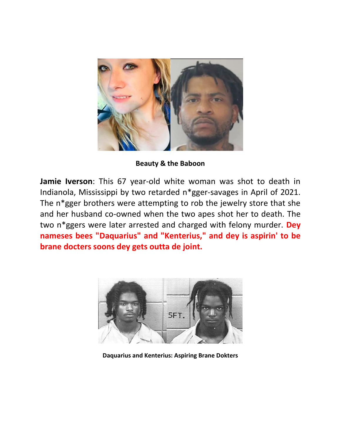

**Beauty & the Baboon**

**Jamie Iverson**: This 67 year-old white woman was shot to death in Indianola, Mississippi by two retarded n\*gger-savages in April of 2021. The n\*gger brothers were attempting to rob the jewelry store that she and her husband co-owned when the two apes shot her to death. The two n\*ggers were later arrested and charged with felony murder. **Dey nameses bees "Daquarius" and "Kenterius," and dey is aspirin' to be brane docters soons dey gets outta de joint.**



**Daquarius and Kenterius: Aspiring Brane Dokters**